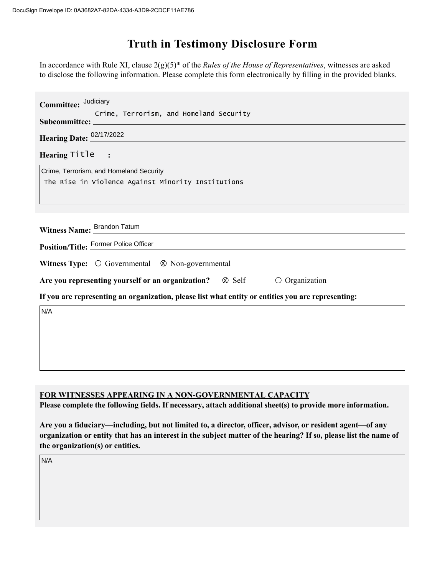## **Truth in Testimony Disclosure Form**

In accordance with Rule XI, clause 2(g)(5)\* of the *Rules of the House of Representatives*, witnesses are asked to disclose the following information. Please complete this form electronically by filling in the provided blanks.

| Committee: Judiciary                                                                               |
|----------------------------------------------------------------------------------------------------|
| Crime, Terrorism, and Homeland Security                                                            |
|                                                                                                    |
| Hearing Date: 02/17/2022                                                                           |
| Hearing Title :                                                                                    |
| Crime, Terrorism, and Homeland Security                                                            |
| The Rise in Violence Against Minority Institutions                                                 |
|                                                                                                    |
|                                                                                                    |
|                                                                                                    |
| Witness Name: Brandon Tatum                                                                        |
| Position/Title: Former Police Officer                                                              |
| Witness Type: $\bigcirc$ Governmental $\otimes$ Non-governmental                                   |
| Are you representing yourself or an organization?  Self<br>$\circ$ Organization                    |
| If you are representing an organization, please list what entity or entities you are representing: |
| N/A                                                                                                |
|                                                                                                    |
|                                                                                                    |
|                                                                                                    |
|                                                                                                    |

## **FOR WITNESSES APPEARING IN A NON-GOVERNMENTAL CAPACITY**

**Please complete the following fields. If necessary, attach additional sheet(s) to provide more information.**

**Are you a fiduciary—including, but not limited to, a director, officer, advisor, or resident agent—of any organization or entity that has an interest in the subject matter of the hearing? If so, please list the name of the organization(s) or entities.**

N/A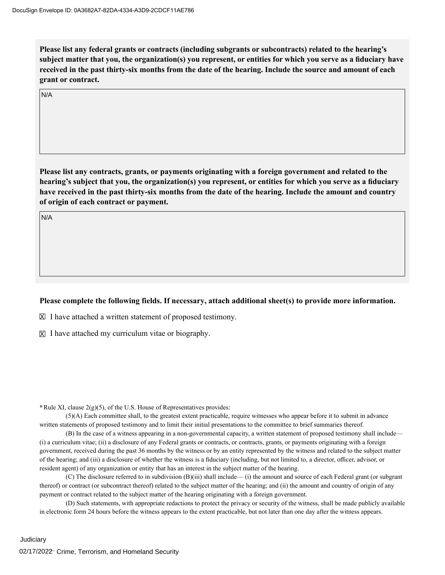**Please list any federal grants or contracts (including subgrants or subcontracts) related to the hearing's subject matter that you, the organization(s) you represent, or entities for which you serve as a fiduciary have received in the past thirty-six months from the date of the hearing. Include the source and amount of each grant or contract.** 

N/A

**Please list any contracts, grants, or payments originating with a foreign government and related to the hearing's subject that you, the organization(s) you represent, or entities for which you serve as a fiduciary have received in the past thirty-six months from the date of the hearing. Include the amount and country of origin of each contract or payment.** 

N/A

## **Please complete the following fields. If necessary, attach additional sheet(s) to provide more information.**

 $\boxtimes$  I have attached a written statement of proposed testimony.

 $\boxtimes$  I have attached my curriculum vitae or biography.

**\***Rule XI, clause 2(g)(5), of the U.S. House of Representatives provides:

(5)(A) Each committee shall, to the greatest extent practicable, require witnesses who appear before it to submit in advance written statements of proposed testimony and to limit their initial presentations to the committee to brief summaries thereof.

(B) In the case of a witness appearing in a non-governmental capacity, a written statement of proposed testimony shall include— (i) a curriculum vitae; (ii) a disclosure of any Federal grants or contracts, or contracts, grants, or payments originating with a foreign government, received during the past 36 months by the witness or by an entity represented by the witness and related to the subject matter of the hearing; and (iii) a disclosure of whether the witness is a fiduciary (including, but not limited to, a director, officer, advisor, or resident agent) of any organization or entity that has an interest in the subject matter of the hearing.

(C) The disclosure referred to in subdivision (B)(iii) shall include— (i) the amount and source of each Federal grant (or subgrant thereof) or contract (or subcontract thereof) related to the subject matter of the hearing; and (ii) the amount and country of origin of any payment or contract related to the subject matter of the hearing originating with a foreign government.

(D) Such statements, with appropriate redactions to protect the privacy or security of the witness, shall be made publicly available in electronic form 24 hours before the witness appears to the extent practicable, but not later than one day after the witness appears.